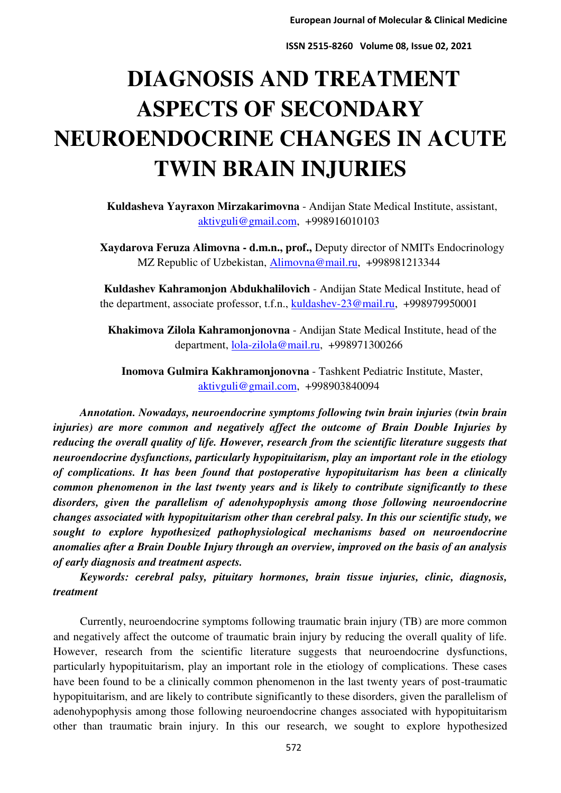# **DIAGNOSIS AND TREATMENT ASPECTS OF SECONDARY NEUROENDOCRINE CHANGES IN ACUTE TWIN BRAIN INJURIES**

**Kuldasheva Yayraxon Mirzakarimovna** - Andijan State Medical Institute, assistant, [aktivguli@gmail.com,](mailto:aktivguli@gmail.com) +998916010103

**Xaydarova Feruza Alimovna - d.m.n., prof.,** Deputy director of NMITs Endocrinology MZ Republic of Uzbekistan, [Alimovna@mail.ru,](mailto:Alimovna@mail.ru) +998981213344

**Kuldashev Kahramonjon Abdukhalilovich** - Andijan State Medical Institute, head of the department, associate professor, t.f.n., [kuldashev-23@mail.ru,](mailto:kuldashev-23@mail.ru) +998979950001

**Khakimova Zilola Kahramonjonovna** - Andijan State Medical Institute, head of the department, [lola-zilola@mail.ru,](mailto:lola-zilola@mail.ru) +998971300266

**Inomova Gulmira Kakhramonjonovna** - Tashkent Pediatric Institute, Master, [aktivguli@gmail.com,](mailto:aktivguli@gmail.com) +998903840094

*Annotation. Nowadays, neuroendocrine symptoms following twin brain injuries (twin brain injuries) are more common and negatively affect the outcome of Brain Double Injuries by reducing the overall quality of life. However, research from the scientific literature suggests that neuroendocrine dysfunctions, particularly hypopituitarism, play an important role in the etiology of complications. It has been found that postoperative hypopituitarism has been a clinically common phenomenon in the last twenty years and is likely to contribute significantly to these disorders, given the parallelism of adenohypophysis among those following neuroendocrine changes associated with hypopituitarism other than cerebral palsy. In this our scientific study, we sought to explore hypothesized pathophysiological mechanisms based on neuroendocrine anomalies after a Brain Double Injury through an overview, improved on the basis of an analysis of early diagnosis and treatment aspects.* 

*Keywords: cerebral palsy, pituitary hormones, brain tissue injuries, clinic, diagnosis, treatment* 

Currently, neuroendocrine symptoms following traumatic brain injury (TB) are more common and negatively affect the outcome of traumatic brain injury by reducing the overall quality of life. However, research from the scientific literature suggests that neuroendocrine dysfunctions, particularly hypopituitarism, play an important role in the etiology of complications. These cases have been found to be a clinically common phenomenon in the last twenty years of post-traumatic hypopituitarism, and are likely to contribute significantly to these disorders, given the parallelism of adenohypophysis among those following neuroendocrine changes associated with hypopituitarism other than traumatic brain injury. In this our research, we sought to explore hypothesized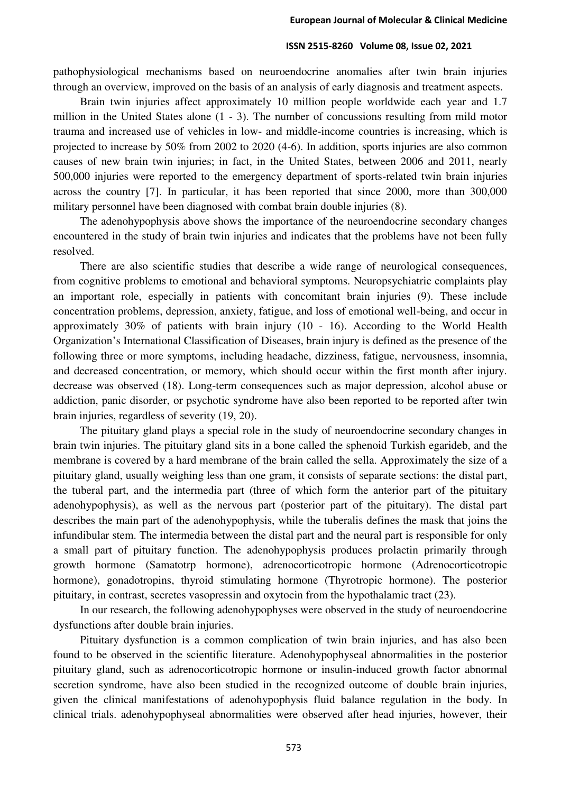pathophysiological mechanisms based on neuroendocrine anomalies after twin brain injuries through an overview, improved on the basis of an analysis of early diagnosis and treatment aspects.

Brain twin injuries affect approximately 10 million people worldwide each year and 1.7 million in the United States alone (1 - 3). The number of concussions resulting from mild motor trauma and increased use of vehicles in low- and middle-income countries is increasing, which is projected to increase by 50% from 2002 to 2020 (4-6). In addition, sports injuries are also common causes of new brain twin injuries; in fact, in the United States, between 2006 and 2011, nearly 500,000 injuries were reported to the emergency department of sports-related twin brain injuries across the country [7]. In particular, it has been reported that since 2000, more than 300,000 military personnel have been diagnosed with combat brain double injuries (8).

The adenohypophysis above shows the importance of the neuroendocrine secondary changes encountered in the study of brain twin injuries and indicates that the problems have not been fully resolved.

There are also scientific studies that describe a wide range of neurological consequences, from cognitive problems to emotional and behavioral symptoms. Neuropsychiatric complaints play an important role, especially in patients with concomitant brain injuries (9). These include concentration problems, depression, anxiety, fatigue, and loss of emotional well-being, and occur in approximately 30% of patients with brain injury (10 - 16). According to the World Health Organization's International Classification of Diseases, brain injury is defined as the presence of the following three or more symptoms, including headache, dizziness, fatigue, nervousness, insomnia, and decreased concentration, or memory, which should occur within the first month after injury. decrease was observed (18). Long-term consequences such as major depression, alcohol abuse or addiction, panic disorder, or psychotic syndrome have also been reported to be reported after twin brain injuries, regardless of severity (19, 20).

The pituitary gland plays a special role in the study of neuroendocrine secondary changes in brain twin injuries. The pituitary gland sits in a bone called the sphenoid Turkish egarideb, and the membrane is covered by a hard membrane of the brain called the sella. Approximately the size of a pituitary gland, usually weighing less than one gram, it consists of separate sections: the distal part, the tuberal part, and the intermedia part (three of which form the anterior part of the pituitary adenohypophysis), as well as the nervous part (posterior part of the pituitary). The distal part describes the main part of the adenohypophysis, while the tuberalis defines the mask that joins the infundibular stem. The intermedia between the distal part and the neural part is responsible for only a small part of pituitary function. The adenohypophysis produces prolactin primarily through growth hormone (Samatotrp hormone), adrenocorticotropic hormone (Adrenocorticotropic hormone), gonadotropins, thyroid stimulating hormone (Thyrotropic hormone). The posterior pituitary, in contrast, secretes vasopressin and oxytocin from the hypothalamic tract (23).

In our research, the following adenohypophyses were observed in the study of neuroendocrine dysfunctions after double brain injuries.

Pituitary dysfunction is a common complication of twin brain injuries, and has also been found to be observed in the scientific literature. Adenohypophyseal abnormalities in the posterior pituitary gland, such as adrenocorticotropic hormone or insulin-induced growth factor abnormal secretion syndrome, have also been studied in the recognized outcome of double brain injuries, given the clinical manifestations of adenohypophysis fluid balance regulation in the body. In clinical trials. adenohypophyseal abnormalities were observed after head injuries, however, their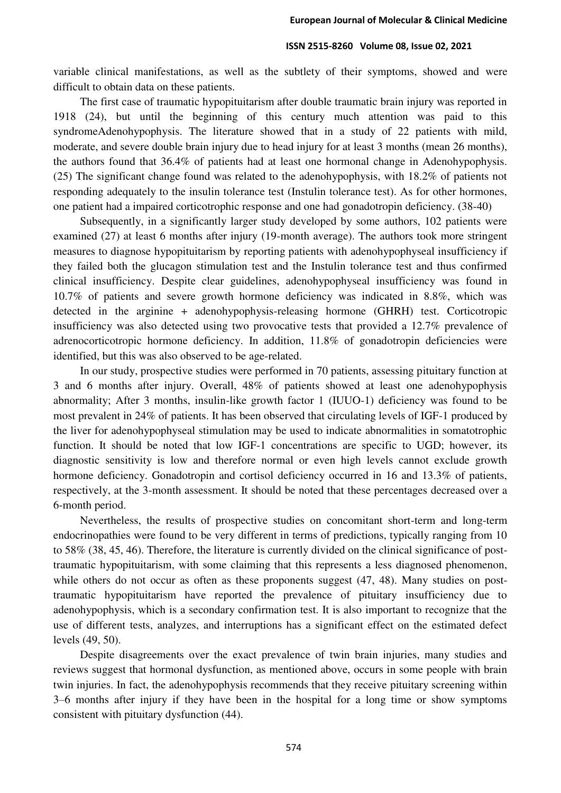variable clinical manifestations, as well as the subtlety of their symptoms, showed and were difficult to obtain data on these patients.

The first case of traumatic hypopituitarism after double traumatic brain injury was reported in 1918 (24), but until the beginning of this century much attention was paid to this syndromeAdenohypophysis. The literature showed that in a study of 22 patients with mild, moderate, and severe double brain injury due to head injury for at least 3 months (mean 26 months), the authors found that 36.4% of patients had at least one hormonal change in Adenohypophysis. (25) The significant change found was related to the adenohypophysis, with 18.2% of patients not responding adequately to the insulin tolerance test (Instulin tolerance test). As for other hormones, one patient had a impaired corticotrophic response and one had gonadotropin deficiency. (38-40)

Subsequently, in a significantly larger study developed by some authors, 102 patients were examined (27) at least 6 months after injury (19-month average). The authors took more stringent measures to diagnose hypopituitarism by reporting patients with adenohypophyseal insufficiency if they failed both the glucagon stimulation test and the Instulin tolerance test and thus confirmed clinical insufficiency. Despite clear guidelines, adenohypophyseal insufficiency was found in 10.7% of patients and severe growth hormone deficiency was indicated in 8.8%, which was detected in the arginine + adenohypophysis-releasing hormone (GHRH) test. Corticotropic insufficiency was also detected using two provocative tests that provided a 12.7% prevalence of adrenocorticotropic hormone deficiency. In addition, 11.8% of gonadotropin deficiencies were identified, but this was also observed to be age-related.

In our study, prospective studies were performed in 70 patients, assessing pituitary function at 3 and 6 months after injury. Overall, 48% of patients showed at least one adenohypophysis abnormality; After 3 months, insulin-like growth factor 1 (IUUO-1) deficiency was found to be most prevalent in 24% of patients. It has been observed that circulating levels of IGF-1 produced by the liver for adenohypophyseal stimulation may be used to indicate abnormalities in somatotrophic function. It should be noted that low IGF-1 concentrations are specific to UGD; however, its diagnostic sensitivity is low and therefore normal or even high levels cannot exclude growth hormone deficiency. Gonadotropin and cortisol deficiency occurred in 16 and 13.3% of patients, respectively, at the 3-month assessment. It should be noted that these percentages decreased over a 6-month period.

Nevertheless, the results of prospective studies on concomitant short-term and long-term endocrinopathies were found to be very different in terms of predictions, typically ranging from 10 to 58% (38, 45, 46). Therefore, the literature is currently divided on the clinical significance of posttraumatic hypopituitarism, with some claiming that this represents a less diagnosed phenomenon, while others do not occur as often as these proponents suggest  $(47, 48)$ . Many studies on posttraumatic hypopituitarism have reported the prevalence of pituitary insufficiency due to adenohypophysis, which is a secondary confirmation test. It is also important to recognize that the use of different tests, analyzes, and interruptions has a significant effect on the estimated defect levels (49, 50).

Despite disagreements over the exact prevalence of twin brain injuries, many studies and reviews suggest that hormonal dysfunction, as mentioned above, occurs in some people with brain twin injuries. In fact, the adenohypophysis recommends that they receive pituitary screening within 3–6 months after injury if they have been in the hospital for a long time or show symptoms consistent with pituitary dysfunction (44).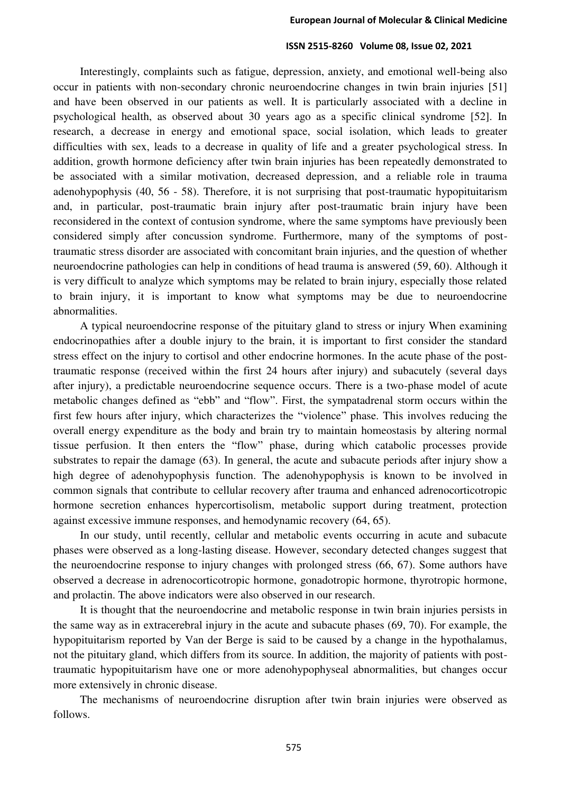Interestingly, complaints such as fatigue, depression, anxiety, and emotional well-being also occur in patients with non-secondary chronic neuroendocrine changes in twin brain injuries [51] and have been observed in our patients as well. It is particularly associated with a decline in psychological health, as observed about 30 years ago as a specific clinical syndrome [52]. In research, a decrease in energy and emotional space, social isolation, which leads to greater difficulties with sex, leads to a decrease in quality of life and a greater psychological stress. In addition, growth hormone deficiency after twin brain injuries has been repeatedly demonstrated to be associated with a similar motivation, decreased depression, and a reliable role in trauma adenohypophysis (40, 56 - 58). Therefore, it is not surprising that post-traumatic hypopituitarism and, in particular, post-traumatic brain injury after post-traumatic brain injury have been reconsidered in the context of contusion syndrome, where the same symptoms have previously been considered simply after concussion syndrome. Furthermore, many of the symptoms of posttraumatic stress disorder are associated with concomitant brain injuries, and the question of whether neuroendocrine pathologies can help in conditions of head trauma is answered (59, 60). Although it is very difficult to analyze which symptoms may be related to brain injury, especially those related to brain injury, it is important to know what symptoms may be due to neuroendocrine abnormalities.

A typical neuroendocrine response of the pituitary gland to stress or injury When examining endocrinopathies after a double injury to the brain, it is important to first consider the standard stress effect on the injury to cortisol and other endocrine hormones. In the acute phase of the posttraumatic response (received within the first 24 hours after injury) and subacutely (several days after injury), a predictable neuroendocrine sequence occurs. There is a two-phase model of acute metabolic changes defined as "ebb" and "flow". First, the sympatadrenal storm occurs within the first few hours after injury, which characterizes the "violence" phase. This involves reducing the overall energy expenditure as the body and brain try to maintain homeostasis by altering normal tissue perfusion. It then enters the "flow" phase, during which catabolic processes provide substrates to repair the damage (63). In general, the acute and subacute periods after injury show a high degree of adenohypophysis function. The adenohypophysis is known to be involved in common signals that contribute to cellular recovery after trauma and enhanced adrenocorticotropic hormone secretion enhances hypercortisolism, metabolic support during treatment, protection against excessive immune responses, and hemodynamic recovery (64, 65).

In our study, until recently, cellular and metabolic events occurring in acute and subacute phases were observed as a long-lasting disease. However, secondary detected changes suggest that the neuroendocrine response to injury changes with prolonged stress (66, 67). Some authors have observed a decrease in adrenocorticotropic hormone, gonadotropic hormone, thyrotropic hormone, and prolactin. The above indicators were also observed in our research.

It is thought that the neuroendocrine and metabolic response in twin brain injuries persists in the same way as in extracerebral injury in the acute and subacute phases (69, 70). For example, the hypopituitarism reported by Van der Berge is said to be caused by a change in the hypothalamus, not the pituitary gland, which differs from its source. In addition, the majority of patients with posttraumatic hypopituitarism have one or more adenohypophyseal abnormalities, but changes occur more extensively in chronic disease.

The mechanisms of neuroendocrine disruption after twin brain injuries were observed as follows.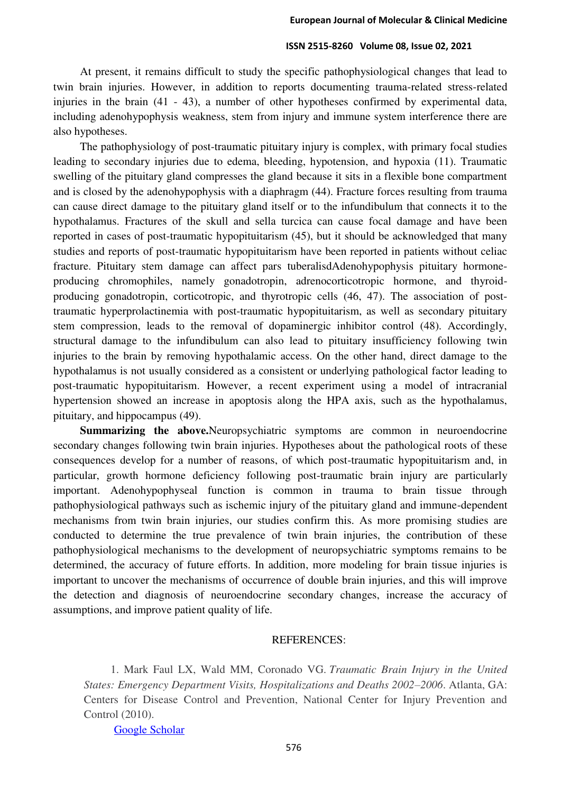At present, it remains difficult to study the specific pathophysiological changes that lead to twin brain injuries. However, in addition to reports documenting trauma-related stress-related injuries in the brain (41 - 43), a number of other hypotheses confirmed by experimental data, including adenohypophysis weakness, stem from injury and immune system interference there are also hypotheses.

The pathophysiology of post-traumatic pituitary injury is complex, with primary focal studies leading to secondary injuries due to edema, bleeding, hypotension, and hypoxia (11). Traumatic swelling of the pituitary gland compresses the gland because it sits in a flexible bone compartment and is closed by the adenohypophysis with a diaphragm (44). Fracture forces resulting from trauma can cause direct damage to the pituitary gland itself or to the infundibulum that connects it to the hypothalamus. Fractures of the skull and sella turcica can cause focal damage and have been reported in cases of post-traumatic hypopituitarism (45), but it should be acknowledged that many studies and reports of post-traumatic hypopituitarism have been reported in patients without celiac fracture. Pituitary stem damage can affect pars tuberalisdAdenohypophysis pituitary hormoneproducing chromophiles, namely gonadotropin, adrenocorticotropic hormone, and thyroidproducing gonadotropin, corticotropic, and thyrotropic cells (46, 47). The association of posttraumatic hyperprolactinemia with post-traumatic hypopituitarism, as well as secondary pituitary stem compression, leads to the removal of dopaminergic inhibitor control (48). Accordingly, structural damage to the infundibulum can also lead to pituitary insufficiency following twin injuries to the brain by removing hypothalamic access. On the other hand, direct damage to the hypothalamus is not usually considered as a consistent or underlying pathological factor leading to post-traumatic hypopituitarism. However, a recent experiment using a model of intracranial hypertension showed an increase in apoptosis along the HPA axis, such as the hypothalamus, pituitary, and hippocampus (49).

**Summarizing the above.**Neuropsychiatric symptoms are common in neuroendocrine secondary changes following twin brain injuries. Hypotheses about the pathological roots of these consequences develop for a number of reasons, of which post-traumatic hypopituitarism and, in particular, growth hormone deficiency following post-traumatic brain injury are particularly important. Adenohypophyseal function is common in trauma to brain tissue through pathophysiological pathways such as ischemic injury of the pituitary gland and immune-dependent mechanisms from twin brain injuries, our studies confirm this. As more promising studies are conducted to determine the true prevalence of twin brain injuries, the contribution of these pathophysiological mechanisms to the development of neuropsychiatric symptoms remains to be determined, the accuracy of future efforts. In addition, more modeling for brain tissue injuries is important to uncover the mechanisms of occurrence of double brain injuries, and this will improve the detection and diagnosis of neuroendocrine secondary changes, increase the accuracy of assumptions, and improve patient quality of life.

#### REFERENCES:

1. Mark Faul LX, Wald MM, Coronado VG. *Traumatic Brain Injury in the United States: Emergency Department Visits, Hospitalizations and Deaths 2002–2006*. Atlanta, GA: Centers for Disease Control and Prevention, National Center for Injury Prevention and Control (2010).

[Google Scholar](http://scholar.google.com/scholar_lookup?title=Traumatic+Brain+Injury+in+the+United+States:+Emergency+Department+Visits,+Hospitalizations+and+Deaths+2002%E2%80%932006&author=L.+X.+Mark+Faul&author=M.+M.+Wald&author=V.+G.+Coronado&publication_year=2010)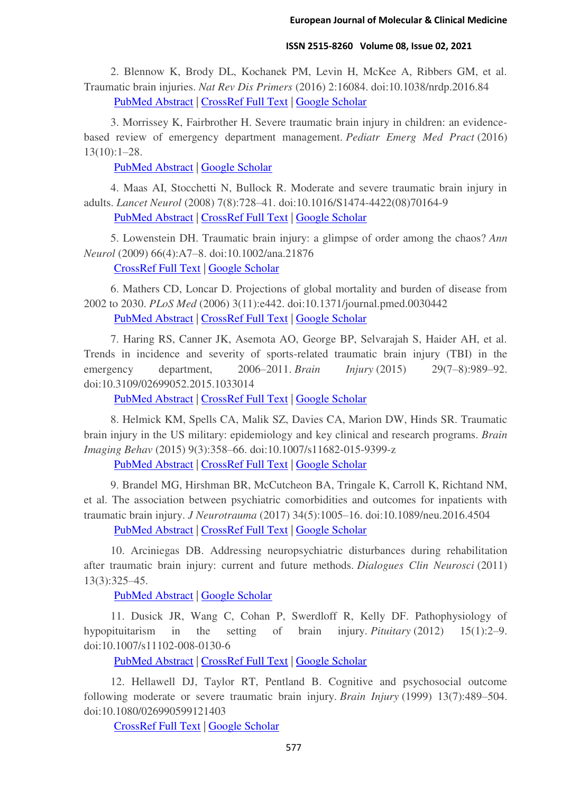2. Blennow K, Brody DL, Kochanek PM, Levin H, McKee A, Ribbers GM, et al. Traumatic brain injuries. *Nat Rev Dis Primers* (2016) 2:16084. doi:10.1038/nrdp.2016.84 [PubMed Abstract](http://www.ncbi.nlm.nih.gov/sites/entrez?Db=pubmed&Cmd=ShowDetailView&TermToSearch=27853132) | [CrossRef Full Text](https://doi.org/10.1038/nrdp.2016.84) | [Google Scholar](http://scholar.google.com/scholar_lookup?title=Traumatic+brain+injuries&author=K.+Blennow&author=D.+L.+Brody&author=P.+M.+Kochanek&author=H.+Levin&author=A.+McKee&author=G.+M.+Ribbers&journal=Nat+Rev+Dis+Primers&publication_year=2016&volume=2&pages=16084&doi=10.1038/nrdp.2016.84&pmid=27853132)

3. Morrissey K, Fairbrother H. Severe traumatic brain injury in children: an evidencebased review of emergency department management. *Pediatr Emerg Med Pract* (2016) 13(10):1–28.

[PubMed Abstract](http://www.ncbi.nlm.nih.gov/sites/entrez?Db=pubmed&Cmd=ShowDetailView&TermToSearch=27668985) | [Google Scholar](http://scholar.google.com/scholar_lookup?title=Severe+traumatic+brain+injury+in+children:+an+evidence-based+review+of+emergency+department+management&author=K.+Morrissey&author=H.+Fairbrother&journal=Pediatr+Emerg+Med+Pract&publication_year=2016&volume=13&pages=1%E2%80%9328&pmid=27668985)

4. Maas AI, Stocchetti N, Bullock R. Moderate and severe traumatic brain injury in adults. *Lancet Neurol* (2008) 7(8):728–41. doi:10.1016/S1474-4422(08)70164-9 [PubMed Abstract](http://www.ncbi.nlm.nih.gov/sites/entrez?Db=pubmed&Cmd=ShowDetailView&TermToSearch=18635021) | [CrossRef Full Text](https://doi.org/10.1016/S1474-4422(08)70164-9) | [Google Scholar](http://scholar.google.com/scholar_lookup?title=Moderate+and+severe+traumatic+brain+injury+in+adults&author=A.+I.+Maas&author=N.+Stocchetti&author=R.+Bullock&journal=Lancet+Neurol&publication_year=2008&volume=7&pages=728%E2%80%9341&doi=10.1016/S1474-4422(08)70164-9&pmid=18635021)

5. Lowenstein DH. Traumatic brain injury: a glimpse of order among the chaos? *Ann Neurol* (2009) 66(4):A7–8. doi:10.1002/ana.21876

[CrossRef Full Text](https://doi.org/10.1002/ana.21876) | [Google Scholar](http://scholar.google.com/scholar_lookup?title=Traumatic+brain+injury:+a+glimpse+of+order+among+the+chaos?&author=D.+H.+Lowenstein&journal=Ann+Neurol&publication_year=2009&volume=66&pages=A7%E2%80%938&doi=10.1002/ana.21876)

6. Mathers CD, Loncar D. Projections of global mortality and burden of disease from 2002 to 2030. *PLoS Med* (2006) 3(11):e442. doi:10.1371/journal.pmed.0030442

[PubMed Abstract](http://www.ncbi.nlm.nih.gov/sites/entrez?Db=pubmed&Cmd=ShowDetailView&TermToSearch=17132052) | [CrossRef Full Text](https://doi.org/10.1371/journal.pmed.0030442) | [Google Scholar](http://scholar.google.com/scholar_lookup?title=Projections+of+global+mortality+and+burden+of+disease+from+2002+to+2030&author=C.+D.+Mathers&author=D.+Loncar&journal=PLoS+Med&publication_year=2006&volume=3&pages=e442&doi=10.1371/journal.pmed.0030442&pmid=17132052)

7. Haring RS, Canner JK, Asemota AO, George BP, Selvarajah S, Haider AH, et al. Trends in incidence and severity of sports-related traumatic brain injury (TBI) in the emergency department, 2006–2011. *Brain Injury* (2015) 29(7–8):989–92. doi:10.3109/02699052.2015.1033014

[PubMed Abstract](http://www.ncbi.nlm.nih.gov/sites/entrez?Db=pubmed&Cmd=ShowDetailView&TermToSearch=25962926) | [CrossRef Full Text](https://doi.org/10.3109/02699052.2015.1033014) | [Google Scholar](http://scholar.google.com/scholar_lookup?title=Trends+in+incidence+and+severity+of+sports-related+traumatic+brain+injury+(TBI)+in+the+emergency+department,+2006%E2%80%932011&author=R.+S.+Haring&author=J.+K.+Canner&author=A.+O.+Asemota&author=B.+P.+George&author=S.+Selvarajah&author=A.+H.+Haider&journal=Brain+Injury&publication_year=2015&volume=29&pages=989%E2%80%9392&doi=10.3109/02699052.2015.1033014&pmid=25962926)

8. Helmick KM, Spells CA, Malik SZ, Davies CA, Marion DW, Hinds SR. Traumatic brain injury in the US military: epidemiology and key clinical and research programs. *Brain Imaging Behav* (2015) 9(3):358–66. doi:10.1007/s11682-015-9399-z

[PubMed Abstract](http://www.ncbi.nlm.nih.gov/sites/entrez?Db=pubmed&Cmd=ShowDetailView&TermToSearch=25972118) | [CrossRef Full Text](https://doi.org/10.1007/s11682-015-9399-z) | [Google Scholar](http://scholar.google.com/scholar_lookup?title=Traumatic+brain+injury+in+the+US+military:+epidemiology+and+key+clinical+and+research+programs&author=K.+M.+Helmick&author=C.+A.+Spells&author=S.+Z.+Malik&author=C.+A.+Davies&author=D.+W.+Marion&author=S.+R.+Hinds&journal=Brain+Imaging+Behav&publication_year=2015&volume=9&pages=358%E2%80%9366&doi=10.1007/s11682-015-9399-z&pmid=25972118)

9. Brandel MG, Hirshman BR, McCutcheon BA, Tringale K, Carroll K, Richtand NM, et al. The association between psychiatric comorbidities and outcomes for inpatients with traumatic brain injury. *J Neurotrauma* (2017) 34(5):1005–16. doi:10.1089/neu.2016.4504

[PubMed Abstract](http://www.ncbi.nlm.nih.gov/sites/entrez?Db=pubmed&Cmd=ShowDetailView&TermToSearch=27573722) | [CrossRef Full Text](https://doi.org/10.1089/neu.2016.4504) | [Google Scholar](http://scholar.google.com/scholar_lookup?title=The+association+between+psychiatric+comorbidities+and+outcomes+for+inpatients+with+traumatic+brain+injury&author=M.+G.+Brandel&author=B.+R.+Hirshman&author=B.+A.+McCutcheon&author=K.+Tringale&author=K.+Carroll&author=N.+M.+Richtand&journal=J+Neurotrauma&publication_year=2017&volume=34&pages=1005%E2%80%9316&doi=10.1089/neu.2016.4504&pmid=27573722)

10. Arciniegas DB. Addressing neuropsychiatric disturbances during rehabilitation after traumatic brain injury: current and future methods. *Dialogues Clin Neurosci* (2011) 13(3):325–45.

[PubMed Abstract](http://www.ncbi.nlm.nih.gov/sites/entrez?Db=pubmed&Cmd=ShowDetailView&TermToSearch=22034400) | [Google Scholar](http://scholar.google.com/scholar_lookup?title=Addressing+neuropsychiatric+disturbances+during+rehabilitation+after+traumatic+brain+injury:+current+and+future+methods&author=D.+B.+Arciniegas&journal=Dialogues+Clin+Neurosci&publication_year=2011&volume=13&pages=325%E2%80%9345&pmid=22034400)

11. Dusick JR, Wang C, Cohan P, Swerdloff R, Kelly DF. Pathophysiology of hypopituitarism in the setting of brain injury. *Pituitary* (2012) 15(1):2–9. doi:10.1007/s11102-008-0130-6

[PubMed Abstract](http://www.ncbi.nlm.nih.gov/sites/entrez?Db=pubmed&Cmd=ShowDetailView&TermToSearch=18481181) | [CrossRef Full Text](https://doi.org/10.1007/s11102-008-0130-6) | [Google Scholar](http://scholar.google.com/scholar_lookup?title=Pathophysiology+of+hypopituitarism+in+the+setting+of+brain+injury&author=J.+R.+Dusick&author=C.+Wang&author=P.+Cohan&author=R.+Swerdloff&author=D.+F.+Kelly&journal=Pituitary&publication_year=2012&volume=15&pages=2%E2%80%939&doi=10.1007/s11102-008-0130-6&pmid=18481181)

12. Hellawell DJ, Taylor RT, Pentland B. Cognitive and psychosocial outcome following moderate or severe traumatic brain injury. *Brain Injury* (1999) 13(7):489–504. doi:10.1080/026990599121403

[CrossRef Full Text](https://doi.org/10.1080/026990599121403) | [Google Scholar](http://scholar.google.com/scholar_lookup?title=Cognitive+and+psychosocial+outcome+following+moderate+or+severe+traumatic+brain+injury&author=D.+J.+Hellawell&author=R.+T.+Taylor&author=B.+Pentland&journal=Brain+Injury&publication_year=1999&volume=13&pages=489%E2%80%93504&doi=10.1080/026990599121403)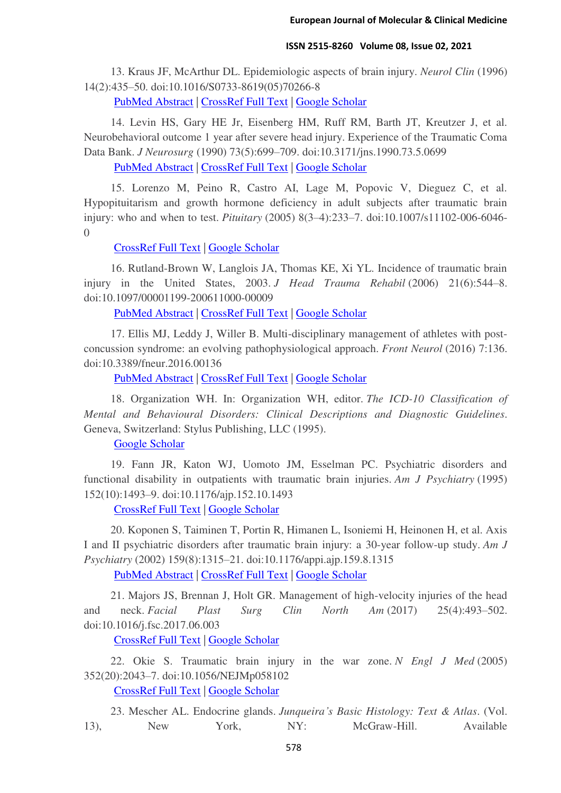13. Kraus JF, McArthur DL. Epidemiologic aspects of brain injury. *Neurol Clin* (1996) 14(2):435–50. doi:10.1016/S0733-8619(05)70266-8

[PubMed Abstract](http://www.ncbi.nlm.nih.gov/sites/entrez?Db=pubmed&Cmd=ShowDetailView&TermToSearch=8827181) | [CrossRef Full Text](https://doi.org/10.1016/S0733-8619(05)70266-8) | [Google Scholar](http://scholar.google.com/scholar_lookup?title=Epidemiologic+aspects+of+brain+injury&author=J.+F.+Kraus&author=D.+L.+McArthur&journal=Neurol+Clin&publication_year=1996&volume=14&pages=435%E2%80%9350&doi=10.1016/S0733-8619(05)70266-8&pmid=8827181)

14. Levin HS, Gary HE Jr, Eisenberg HM, Ruff RM, Barth JT, Kreutzer J, et al. Neurobehavioral outcome 1 year after severe head injury. Experience of the Traumatic Coma Data Bank. *J Neurosurg* (1990) 73(5):699–709. doi:10.3171/jns.1990.73.5.0699

[PubMed Abstract](http://www.ncbi.nlm.nih.gov/sites/entrez?Db=pubmed&Cmd=ShowDetailView&TermToSearch=2213159) | [CrossRef Full Text](https://doi.org/10.3171/jns.1990.73.5.0699) | [Google Scholar](http://scholar.google.com/scholar_lookup?title=Neurobehavioral+outcome+1+year+after+severe+head+injury.+Experience+of+the+Traumatic+Coma+Data+Bank&author=H.+S.+Levin&author=H.+E.+Gary&author=H.+M.+Eisenberg&author=R.+M.+Ruff&author=J.+T.+Barth&author=J.+Kreutzer&journal=J+Neurosurg&publication_year=1990&volume=73&pages=699%E2%80%93709&doi=10.3171/jns.1990.73.5.0699&pmid=2213159)

15. Lorenzo M, Peino R, Castro AI, Lage M, Popovic V, Dieguez C, et al. Hypopituitarism and growth hormone deficiency in adult subjects after traumatic brain injury: who and when to test. *Pituitary* (2005) 8(3–4):233–7. doi:10.1007/s11102-006-6046- 0

[CrossRef Full Text](https://doi.org/10.1007/s11102-006-6046-0) | [Google Scholar](http://scholar.google.com/scholar_lookup?title=Hypopituitarism+and+growth+hormone+deficiency+in+adult+subjects+after+traumatic+brain+injury:+who+and+when+to+test&author=M.+Lorenzo&author=R.+Peino&author=A.+I.+Castro&author=M.+Lage&author=V.+Popovic&author=C.+Dieguez&journal=Pituitary&publication_year=2005&volume=8&pages=233%E2%80%937&doi=10.1007/s11102-006-6046-0)

16. Rutland-Brown W, Langlois JA, Thomas KE, Xi YL. Incidence of traumatic brain injury in the United States, 2003. *J Head Trauma Rehabil* (2006) 21(6):544–8. doi:10.1097/00001199-200611000-00009

[PubMed Abstract](http://www.ncbi.nlm.nih.gov/sites/entrez?Db=pubmed&Cmd=ShowDetailView&TermToSearch=17122685) | [CrossRef Full Text](https://doi.org/10.1097/00001199-200611000-00009) | [Google Scholar](http://scholar.google.com/scholar_lookup?title=Incidence+of+traumatic+brain+injury+in+the+United+States,+2003&author=W.+Rutland-Brown&author=J.+A.+Langlois&author=K.+E.+Thomas&author=Y.+L.+Xi&journal=J+Head+Trauma+Rehabil&publication_year=2006&volume=21&pages=544%E2%80%938&doi=10.1097/00001199-200611000-00009&pmid=17122685)

17. Ellis MJ, Leddy J, Willer B. Multi-disciplinary management of athletes with postconcussion syndrome: an evolving pathophysiological approach. *Front Neurol* (2016) 7:136. doi:10.3389/fneur.2016.00136

[PubMed Abstract](http://www.ncbi.nlm.nih.gov/sites/entrez?Db=pubmed&Cmd=ShowDetailView&TermToSearch=27605923) | [CrossRef Full Text](https://doi.org/10.3389/fneur.2016.00136) | [Google Scholar](http://scholar.google.com/scholar_lookup?title=Multi-disciplinary+management+of+athletes+with+post-concussion+syndrome:+an+evolving+pathophysiological+approach&author=M.+J.+Ellis&author=J.+Leddy&author=B.+Willer&journal=Front+Neurol&publication_year=2016&volume=7&pages=136&doi=10.3389/fneur.2016.00136&pmid=27605923)

18. Organization WH. In: Organization WH, editor. *The ICD-10 Classification of Mental and Behavioural Disorders: Clinical Descriptions and Diagnostic Guidelines*. Geneva, Switzerland: Stylus Publishing, LLC (1995).

[Google Scholar](http://scholar.google.com/scholar_lookup?title=The+ICD-10+Classification+of+Mental+and+Behavioural+Disorders:+Clinical+Descriptions+and+Diagnostic+Guidelines&author=W.+H.+Organization&publication_year=1995)

19. Fann JR, Katon WJ, Uomoto JM, Esselman PC. Psychiatric disorders and functional disability in outpatients with traumatic brain injuries. *Am J Psychiatry* (1995) 152(10):1493–9. doi:10.1176/ajp.152.10.1493

[CrossRef Full Text](https://doi.org/10.1176/ajp.152.10.1493) | [Google Scholar](http://scholar.google.com/scholar_lookup?title=Psychiatric+disorders+and+functional+disability+in+outpatients+with+traumatic+brain+injuries&author=J.+R.+Fann&author=W.+J.+Katon&author=J.+M.+Uomoto&author=P.+C.+Esselman&journal=Am+J+Psychiatry&publication_year=1995&volume=152&pages=1493%E2%80%939&doi=10.1176/ajp.152.10.1493)

20. Koponen S, Taiminen T, Portin R, Himanen L, Isoniemi H, Heinonen H, et al. Axis I and II psychiatric disorders after traumatic brain injury: a 30-year follow-up study. *Am J Psychiatry* (2002) 159(8):1315–21. doi:10.1176/appi.ajp.159.8.1315

[PubMed Abstract](http://www.ncbi.nlm.nih.gov/sites/entrez?Db=pubmed&Cmd=ShowDetailView&TermToSearch=12153823) | [CrossRef Full Text](https://doi.org/10.1176/appi.ajp.159.8.1315) | [Google Scholar](http://scholar.google.com/scholar_lookup?title=Axis+I+and+II+psychiatric+disorders+after+traumatic+brain+injury:+a+30-year+follow-up+study&author=S.+Koponen&author=T.+Taiminen&author=R.+Portin&author=L.+Himanen&author=H.+Isoniemi&author=H.+Heinonen&journal=Am+J+Psychiatry&publication_year=2002&volume=159&pages=1315%E2%80%9321&doi=10.1176/appi.ajp.159.8.1315&pmid=12153823)

21. Majors JS, Brennan J, Holt GR. Management of high-velocity injuries of the head and neck. *Facial Plast Surg Clin North Am* (2017) 25(4):493–502. doi:10.1016/j.fsc.2017.06.003

[CrossRef Full Text](https://doi.org/10.1016/j.fsc.2017.06.003) | [Google Scholar](http://scholar.google.com/scholar_lookup?title=Management+of+high-velocity+injuries+of+the+head+and+neck&author=J.+S.+Majors&author=J.+Brennan&author=G.+R.+Holt&journal=Facial+Plast+Surg+Clin+North+Am&publication_year=2017&volume=25&pages=493%E2%80%93502&doi=10.1016/j.fsc.2017.06.003)

22. Okie S. Traumatic brain injury in the war zone. *N Engl J Med* (2005) 352(20):2043–7. doi:10.1056/NEJMp058102

[CrossRef Full Text](https://doi.org/10.1056/NEJMp058102) | [Google Scholar](http://scholar.google.com/scholar_lookup?title=Traumatic+brain+injury+in+the+war+zone&author=S.+Okie&journal=N+Engl+J+Med&publication_year=2005&volume=352&pages=2043%E2%80%937&doi=10.1056/NEJMp058102)

23. Mescher AL. Endocrine glands. *Junqueira's Basic Histology: Text & Atlas*. (Vol. 13), New York, NY: McGraw-Hill. Available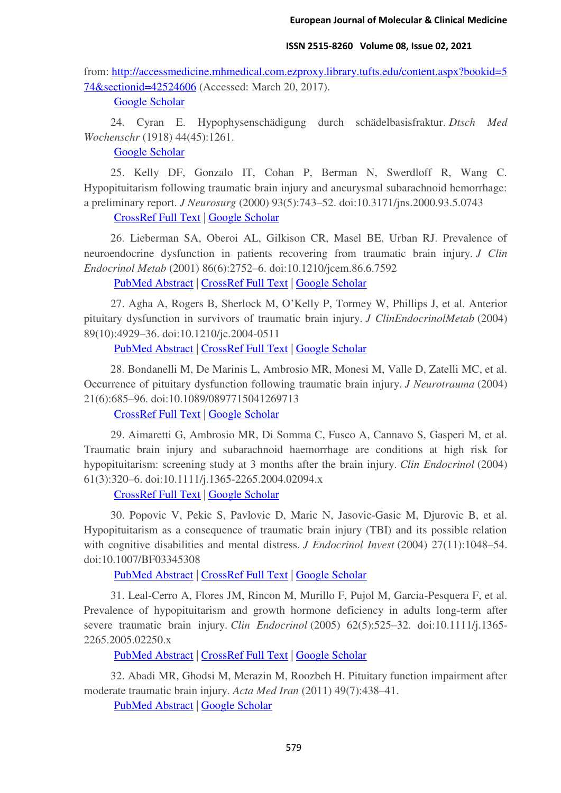from: [http://accessmedicine.mhmedical.com.ezproxy.library.tufts.edu/content.aspx?bookid=5](http://accessmedicine.mhmedical.com.ezproxy.library.tufts.edu/content.aspx?bookid=574§ionid=42524606) [74&sectionid=42524606](http://accessmedicine.mhmedical.com.ezproxy.library.tufts.edu/content.aspx?bookid=574§ionid=42524606) (Accessed: March 20, 2017).

[Google Scholar](http://scholar.google.com/scholar_lookup?title=Endocrine+glands&author=A.+L.+Mescher&volume=13)

24. Cyran E. Hypophysenschädigung durch schädelbasisfraktur. *Dtsch Med Wochenschr* (1918) 44(45):1261.

[Google Scholar](http://scholar.google.com/scholar_lookup?title=Hypophysensch%C3%A4digung+durch+sch%C3%A4delbasisfraktur&author=E.+Cyran&journal=Dtsch+Med+Wochenschr&publication_year=1918&volume=44&pages=1261)

25. Kelly DF, Gonzalo IT, Cohan P, Berman N, Swerdloff R, Wang C. Hypopituitarism following traumatic brain injury and aneurysmal subarachnoid hemorrhage: a preliminary report. *J Neurosurg* (2000) 93(5):743–52. doi:10.3171/jns.2000.93.5.0743

[CrossRef Full Text](https://doi.org/10.3171/jns.2000.93.5.0743) | [Google Scholar](http://scholar.google.com/scholar_lookup?title=Hypopituitarism+following+traumatic+brain+injury+and+aneurysmal+subarachnoid+hemorrhage:+a+preliminary+report&author=D.+F.+Kelly&author=I.+T.+Gonzalo&author=P.+Cohan&author=N.+Berman&author=R.+Swerdloff&author=C.+Wang&journal=J+Neurosurg&publication_year=2000&volume=93&pages=743%E2%80%9352&doi=10.3171/jns.2000.93.5.0743)

26. Lieberman SA, Oberoi AL, Gilkison CR, Masel BE, Urban RJ. Prevalence of neuroendocrine dysfunction in patients recovering from traumatic brain injury. *J Clin Endocrinol Metab* (2001) 86(6):2752–6. doi:10.1210/jcem.86.6.7592

[PubMed Abstract](http://www.ncbi.nlm.nih.gov/sites/entrez?Db=pubmed&Cmd=ShowDetailView&TermToSearch=11397882) | [CrossRef Full Text](https://doi.org/10.1210/jcem.86.6.7592) | [Google Scholar](http://scholar.google.com/scholar_lookup?title=Prevalence+of+neuroendocrine+dysfunction+in+patients+recovering+from+traumatic+brain+injury&author=S.+A.+Lieberman&author=A.+L.+Oberoi&author=C.+R.+Gilkison&author=B.+E.+Masel&author=R.+J.+Urban&journal=J+Clin+Endocrinol+Metab&publication_year=2001&volume=86&pages=2752%E2%80%936&doi=10.1210/jcem.86.6.7592&pmid=11397882)

27. Agha A, Rogers B, Sherlock M, O'Kelly P, Tormey W, Phillips J, et al. Anterior pituitary dysfunction in survivors of traumatic brain injury. *J ClinEndocrinolMetab* (2004) 89(10):4929–36. doi:10.1210/jc.2004-0511

[PubMed Abstract](http://www.ncbi.nlm.nih.gov/sites/entrez?Db=pubmed&Cmd=ShowDetailView&TermToSearch=15472187) | [CrossRef Full Text](https://doi.org/10.1210/jc.2004-0511) | [Google Scholar](http://scholar.google.com/scholar_lookup?title=Anterior+pituitary+dysfunction+in+survivors+of+traumatic+brain+injury&author=A.+Agha&author=B.+Rogers&author=M.+Sherlock&author=P.+O%E2%80%99Kelly&author=W.+Tormey&author=J.+Phillips&journal=J+Clin+Endocrinol+Metab&publication_year=2004&volume=89&pages=4929%E2%80%9336&doi=10.1210/jc.2004-0511&pmid=15472187)

28. Bondanelli M, De Marinis L, Ambrosio MR, Monesi M, Valle D, Zatelli MC, et al. Occurrence of pituitary dysfunction following traumatic brain injury. *J Neurotrauma* (2004) 21(6):685–96. doi:10.1089/0897715041269713

[CrossRef Full Text](https://doi.org/10.1089/0897715041269713) | [Google Scholar](http://scholar.google.com/scholar_lookup?title=Occurrence+of+pituitary+dysfunction+following+traumatic+brain+injury&author=M.+Bondanelli&author=L.+De+Marinis&author=M.+R.+Ambrosio&author=M.+Monesi&author=D.+Valle&author=M.+C.+Zatelli&journal=J+Neurotrauma&publication_year=2004&volume=21&pages=685%E2%80%9396&doi=10.1089/0897715041269713)

29. Aimaretti G, Ambrosio MR, Di Somma C, Fusco A, Cannavo S, Gasperi M, et al. Traumatic brain injury and subarachnoid haemorrhage are conditions at high risk for hypopituitarism: screening study at 3 months after the brain injury. *Clin Endocrinol* (2004) 61(3):320–6. doi:10.1111/j.1365-2265.2004.02094.x

[CrossRef Full Text](https://doi.org/10.1111/j.1365-2265.2004.02094.x) | [Google Scholar](http://scholar.google.com/scholar_lookup?title=Traumatic+brain+injury+and+subarachnoid+haemorrhage+are+conditions+at+high+risk+for+hypopituitarism:+screening+study+at+3+months+after+the+brain+injury&author=G.+Aimaretti&author=M.+R.+Ambrosio&author=C.+Di+Somma&author=A.+Fusco&author=S.+Cannavo&author=M.+Gasperi&journal=Clin+Endocrinol&publication_year=2004&volume=61&pages=320%E2%80%936&doi=10.1111/j.1365-2265.2004.02094.x)

30. Popovic V, Pekic S, Pavlovic D, Maric N, Jasovic-Gasic M, Djurovic B, et al. Hypopituitarism as a consequence of traumatic brain injury (TBI) and its possible relation with cognitive disabilities and mental distress. *J Endocrinol Invest* (2004) 27(11):1048–54. doi:10.1007/BF03345308

[PubMed Abstract](http://www.ncbi.nlm.nih.gov/sites/entrez?Db=pubmed&Cmd=ShowDetailView&TermToSearch=15754737) | [CrossRef Full Text](https://doi.org/10.1007/BF03345308) | [Google Scholar](http://scholar.google.com/scholar_lookup?title=Hypopituitarism+as+a+consequence+of+traumatic+brain+injury+(TBI)+and+its+possible+relation+with+cognitive+disabilities+and+mental+distress&author=V.+Popovic&author=S.+Pekic&author=D.+Pavlovic&author=N.+Maric&author=M.+Jasovic-Gasic&author=B.+Djurovic&journal=J+Endocrinol+Invest&publication_year=2004&volume=27&pages=1048%E2%80%9354&doi=10.1007/BF03345308&pmid=15754737)

31. Leal-Cerro A, Flores JM, Rincon M, Murillo F, Pujol M, Garcia-Pesquera F, et al. Prevalence of hypopituitarism and growth hormone deficiency in adults long-term after severe traumatic brain injury. *Clin Endocrinol* (2005) 62(5):525–32. doi:10.1111/j.1365- 2265.2005.02250.x

[PubMed Abstract](http://www.ncbi.nlm.nih.gov/sites/entrez?Db=pubmed&Cmd=ShowDetailView&TermToSearch=15853820) | [CrossRef Full Text](https://doi.org/10.1111/j.1365-2265.2005.02250.x) | [Google Scholar](http://scholar.google.com/scholar_lookup?title=Prevalence+of+hypopituitarism+and+growth+hormone+deficiency+in+adults+long-term+after+severe+traumatic+brain+injury&author=A.+Leal-Cerro&author=J.+M.+Flores&author=M.+Rincon&author=F.+Murillo&author=M.+Pujol&author=F.+Garcia-Pesquera&journal=Clin+Endocrinol&publication_year=2005&volume=62&pages=525%E2%80%9332&doi=10.1111/j.1365-2265.2005.02250.x&pmid=15853820)

32. Abadi MR, Ghodsi M, Merazin M, Roozbeh H. Pituitary function impairment after moderate traumatic brain injury. *Acta Med Iran* (2011) 49(7):438–41.

[PubMed Abstract](http://www.ncbi.nlm.nih.gov/sites/entrez?Db=pubmed&Cmd=ShowDetailView&TermToSearch=21960075) | [Google Scholar](http://scholar.google.com/scholar_lookup?title=Pituitary+function+impairment+after+moderate+traumatic+brain+injury&author=M.+R.+Abadi&author=M.+Ghodsi&author=M.+Merazin&author=H.+Roozbeh&journal=Acta+Med+Iran&publication_year=2011&volume=49&pages=438%E2%80%9341&pmid=21960075)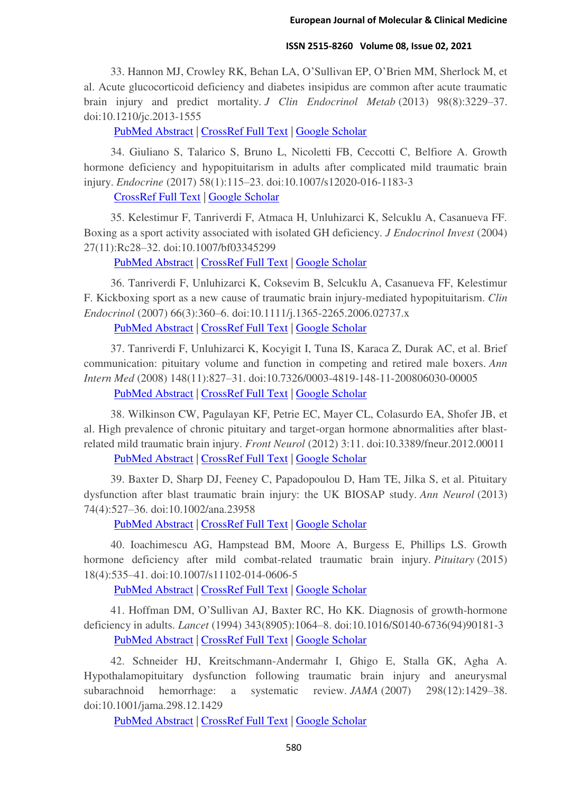33. Hannon MJ, Crowley RK, Behan LA, O'Sullivan EP, O'Brien MM, Sherlock M, et al. Acute glucocorticoid deficiency and diabetes insipidus are common after acute traumatic brain injury and predict mortality. *J Clin Endocrinol Metab* (2013) 98(8):3229–37. doi:10.1210/jc.2013-1555

[PubMed Abstract](http://www.ncbi.nlm.nih.gov/sites/entrez?Db=pubmed&Cmd=ShowDetailView&TermToSearch=23690314) | [CrossRef Full Text](https://doi.org/10.1210/jc.2013-1555) | [Google Scholar](http://scholar.google.com/scholar_lookup?title=Acute+glucocorticoid+deficiency+and+diabetes+insipidus+are+common+after+acute+traumatic+brain+injury+and+predict+mortality&author=M.+J.+Hannon&author=R.+K.+Crowley&author=L.+A.+Behan&author=E.+P.+O%E2%80%99Sullivan&author=M.+M.+O%E2%80%99Brien&author=M.+Sherlock&journal=J+Clin+Endocrinol+Metab&publication_year=2013&volume=98&pages=3229%E2%80%9337&doi=10.1210/jc.2013-1555&pmid=23690314)

34. Giuliano S, Talarico S, Bruno L, Nicoletti FB, Ceccotti C, Belfiore A. Growth hormone deficiency and hypopituitarism in adults after complicated mild traumatic brain injury. *Endocrine* (2017) 58(1):115–23. doi:10.1007/s12020-016-1183-3

[CrossRef Full Text](https://doi.org/10.1007/s12020-016-1183-3) | [Google Scholar](http://scholar.google.com/scholar_lookup?title=Growth+hormone+deficiency+and+hypopituitarism+in+adults+after+complicated+mild+traumatic+brain+injury&author=S.+Giuliano&author=S.+Talarico&author=L.+Bruno&author=F.+B.+Nicoletti&author=C.+Ceccotti&author=A.+Belfiore&journal=Endocrine&publication_year=2017&volume=58&pages=115%E2%80%9323&doi=10.1007/s12020-016-1183-3)

35. Kelestimur F, Tanriverdi F, Atmaca H, Unluhizarci K, Selcuklu A, Casanueva FF. Boxing as a sport activity associated with isolated GH deficiency. *J Endocrinol Invest* (2004) 27(11):Rc28–32. doi:10.1007/bf03345299

[PubMed Abstract](http://www.ncbi.nlm.nih.gov/sites/entrez?Db=pubmed&Cmd=ShowDetailView&TermToSearch=15754728) | [CrossRef Full Text](https://doi.org/10.1007/bf03345299) | [Google Scholar](http://scholar.google.com/scholar_lookup?title=Boxing+as+a+sport+activity+associated+with+isolated+GH+deficiency&author=F.+Kelestimur&author=F.+Tanriverdi&author=H.+Atmaca&author=K.+Unluhizarci&author=A.+Selcuklu&author=F.+F.+Casanueva&journal=J+Endocrinol+Invest&publication_year=2004&volume=27&pages=Rc28%E2%80%9332&doi=10.1007/bf03345299&pmid=15754728)

36. Tanriverdi F, Unluhizarci K, Coksevim B, Selcuklu A, Casanueva FF, Kelestimur F. Kickboxing sport as a new cause of traumatic brain injury-mediated hypopituitarism. *Clin Endocrinol* (2007) 66(3):360–6. doi:10.1111/j.1365-2265.2006.02737.x

[PubMed Abstract](http://www.ncbi.nlm.nih.gov/sites/entrez?Db=pubmed&Cmd=ShowDetailView&TermToSearch=17302869) | [CrossRef Full Text](https://doi.org/10.1111/j.1365-2265.2006.02737.x) | [Google Scholar](http://scholar.google.com/scholar_lookup?title=Kickboxing+sport+as+a+new+cause+of+traumatic+brain+injury-mediated+hypopituitarism&author=F.+Tanriverdi&author=K.+Unluhizarci&author=B.+Coksevim&author=A.+Selcuklu&author=F.+F.+Casanueva&author=F.+Kelestimur&journal=Clin+Endocrinol&publication_year=2007&volume=66&pages=360%E2%80%936&doi=10.1111/j.1365-2265.2006.02737.x&pmid=17302869)

37. Tanriverdi F, Unluhizarci K, Kocyigit I, Tuna IS, Karaca Z, Durak AC, et al. Brief communication: pituitary volume and function in competing and retired male boxers. *Ann Intern Med* (2008) 148(11):827–31. doi:10.7326/0003-4819-148-11-200806030-00005

[PubMed Abstract](http://www.ncbi.nlm.nih.gov/sites/entrez?Db=pubmed&Cmd=ShowDetailView&TermToSearch=18519929) | [CrossRef Full Text](https://doi.org/10.7326/0003-4819-148-11-200806030-00005) | [Google Scholar](http://scholar.google.com/scholar_lookup?title=Brief+communication:+pituitary+volume+and+function+in+competing+and+retired+male+boxers&author=F.+Tanriverdi&author=K.+Unluhizarci&author=I.+Kocyigit&author=I.+S.+Tuna&author=Z.+Karaca&author=A.+C.+Durak&journal=Ann+Intern+Med&publication_year=2008&volume=148&pages=827%E2%80%9331&doi=10.7326/0003-4819-148-11-200806030-00005&pmid=18519929)

38. Wilkinson CW, Pagulayan KF, Petrie EC, Mayer CL, Colasurdo EA, Shofer JB, et al. High prevalence of chronic pituitary and target-organ hormone abnormalities after blastrelated mild traumatic brain injury. *Front Neurol* (2012) 3:11. doi:10.3389/fneur.2012.00011

[PubMed Abstract](http://www.ncbi.nlm.nih.gov/sites/entrez?Db=pubmed&Cmd=ShowDetailView&TermToSearch=22347210) | [CrossRef Full Text](https://doi.org/10.3389/fneur.2012.00011) | [Google Scholar](http://scholar.google.com/scholar_lookup?title=High+prevalence+of+chronic+pituitary+and+target-organ+hormone+abnormalities+after+blast-related+mild+traumatic+brain+injury&author=C.+W.+Wilkinson&author=K.+F.+Pagulayan&author=E.+C.+Petrie&author=C.+L.+Mayer&author=E.+A.+Colasurdo&author=J.+B.+Shofer&journal=Front+Neurol&publication_year=2012&volume=3&pages=11&doi=10.3389/fneur.2012.00011&pmid=22347210)

39. Baxter D, Sharp DJ, Feeney C, Papadopoulou D, Ham TE, Jilka S, et al. Pituitary dysfunction after blast traumatic brain injury: the UK BIOSAP study. *Ann Neurol* (2013) 74(4):527–36. doi:10.1002/ana.23958

[PubMed Abstract](http://www.ncbi.nlm.nih.gov/sites/entrez?Db=pubmed&Cmd=ShowDetailView&TermToSearch=23794460) | [CrossRef Full Text](https://doi.org/10.1002/ana.23958) | [Google Scholar](http://scholar.google.com/scholar_lookup?title=Pituitary+dysfunction+after+blast+traumatic+brain+injury:+the+UK+BIOSAP+study&author=D.+Baxter&author=D.+J.+Sharp&author=C.+Feeney&author=D.+Papadopoulou&author=T.+E.+Ham&author=S.+Jilka&journal=Ann+Neurol&publication_year=2013&volume=74&pages=527%E2%80%9336&doi=10.1002/ana.23958&pmid=23794460)

40. Ioachimescu AG, Hampstead BM, Moore A, Burgess E, Phillips LS. Growth hormone deficiency after mild combat-related traumatic brain injury. *Pituitary* (2015) 18(4):535–41. doi:10.1007/s11102-014-0606-5

[PubMed Abstract](http://www.ncbi.nlm.nih.gov/sites/entrez?Db=pubmed&Cmd=ShowDetailView&TermToSearch=25266761) | [CrossRef Full Text](https://doi.org/10.1007/s11102-014-0606-5) | [Google Scholar](http://scholar.google.com/scholar_lookup?title=Growth+hormone+deficiency+after+mild+combat-related+traumatic+brain+injury&author=A.+G.+Ioachimescu&author=B.+M.+Hampstead&author=A.+Moore&author=E.+Burgess&author=L.+S.+Phillips&journal=Pituitary&publication_year=2015&volume=18&pages=535%E2%80%9341&doi=10.1007/s11102-014-0606-5&pmid=25266761)

41. Hoffman DM, O'Sullivan AJ, Baxter RC, Ho KK. Diagnosis of growth-hormone deficiency in adults. *Lancet* (1994) 343(8905):1064–8. doi:10.1016/S0140-6736(94)90181-3 [PubMed Abstract](http://www.ncbi.nlm.nih.gov/sites/entrez?Db=pubmed&Cmd=ShowDetailView&TermToSearch=7512681) | [CrossRef Full Text](https://doi.org/10.1016/S0140-6736(94)90181-3) | [Google Scholar](http://scholar.google.com/scholar_lookup?title=Diagnosis+of+growth-hormone+deficiency+in+adults&author=D.+M.+Hoffman&author=A.+J.+O%E2%80%99Sullivan&author=R.+C.+Baxter&author=K.+K.+Ho&journal=Lancet&publication_year=1994&volume=343&pages=1064%E2%80%938&doi=10.1016/S0140-6736(94)90181-3&pmid=7512681)

42. Schneider HJ, Kreitschmann-Andermahr I, Ghigo E, Stalla GK, Agha A. Hypothalamopituitary dysfunction following traumatic brain injury and aneurysmal subarachnoid hemorrhage: a systematic review. *JAMA* (2007) 298(12):1429–38. doi:10.1001/jama.298.12.1429

[PubMed Abstract](http://www.ncbi.nlm.nih.gov/sites/entrez?Db=pubmed&Cmd=ShowDetailView&TermToSearch=17895459) | [CrossRef Full Text](https://doi.org/10.1001/jama.298.12.1429) | [Google Scholar](http://scholar.google.com/scholar_lookup?title=Hypothalamopituitary+dysfunction+following+traumatic+brain+injury+and+aneurysmal+subarachnoid+hemorrhage:+a+systematic+review&author=H.+J.+Schneider&author=I.+Kreitschmann-Andermahr&author=E.+Ghigo&author=G.+K.+Stalla&author=A.+Agha&journal=JAMA&publication_year=2007&volume=298&pages=1429%E2%80%9338&doi=10.1001/jama.298.12.1429&pmid=17895459)